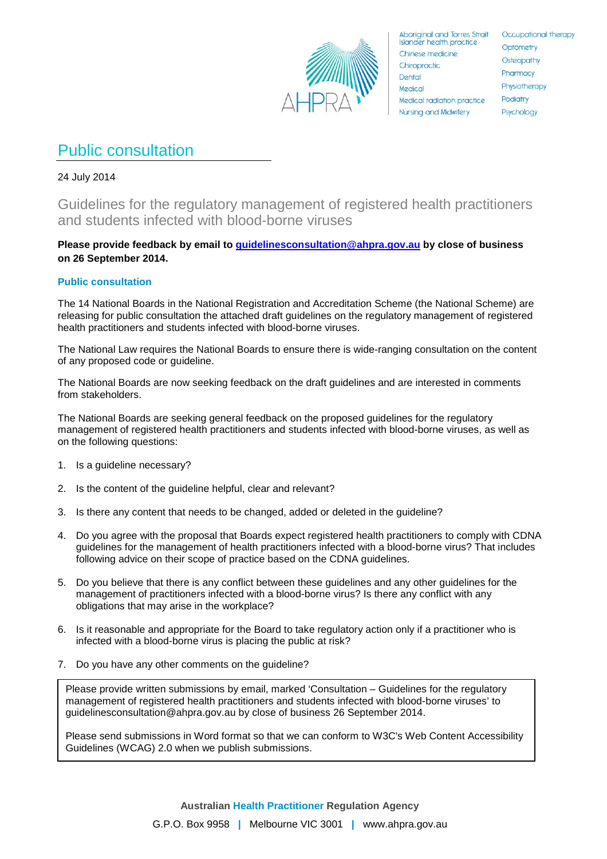

**Aboriginal and Torres Strait Islander health practice** Chinese medicine Chiropractic Dental Medical Medical radiation practice **Nursing and Midwifery** 

Occupational therapy Optometry Osteopathy Pharmacy Physiotherapy Podiatry Psychology

# Public consultation

24 July 2014

Guidelines for the regulatory management of registered health practitioners and students infected with blood-borne viruses

# **Please provide feedback by email to [guidelinesconsultation@ahpra.gov.au](mailto:guidelinesconsultation@ahpra.gov.au) by close of business on 26 September 2014.**

# **Public consultation**

The 14 National Boards in the National Registration and Accreditation Scheme (the National Scheme) are releasing for public consultation the attached draft guidelines on the regulatory management of registered health practitioners and students infected with blood-borne viruses.

The National Law requires the National Boards to ensure there is wide-ranging consultation on the content of any proposed code or guideline.

The National Boards are now seeking feedback on the draft guidelines and are interested in comments from stakeholders.

The National Boards are seeking general feedback on the proposed guidelines for the regulatory management of registered health practitioners and students infected with blood-borne viruses, as well as on the following questions:

- 1. Is a guideline necessary?
- 2. Is the content of the guideline helpful, clear and relevant?
- 3. Is there any content that needs to be changed, added or deleted in the guideline?
- 4. Do you agree with the proposal that Boards expect registered health practitioners to comply with CDNA guidelines for the management of health practitioners infected with a blood-borne virus? That includes following advice on their scope of practice based on the CDNA guidelines.
- 5. Do you believe that there is any conflict between these guidelines and any other guidelines for the management of practitioners infected with a blood-borne virus? Is there any conflict with any obligations that may arise in the workplace?
- 6. Is it reasonable and appropriate for the Board to take regulatory action only if a practitioner who is infected with a blood-borne virus is placing the public at risk?
- 7. Do you have any other comments on the guideline?

quidelinesconsultation@ahpra.gov.au by close of business 26 September 2014. Please provide written submissions by email, marked 'Consultation – Guidelines for the regulatory management of registered health practitioners and students infected with blood-borne viruses' to

Please send submissions in Word format so that we can conform to W3C's Web Content Accessibility Guidelines (WCAG) 2.0 when we publish submissions. Guidelines (WCAG) 2.0 when we publish submissions.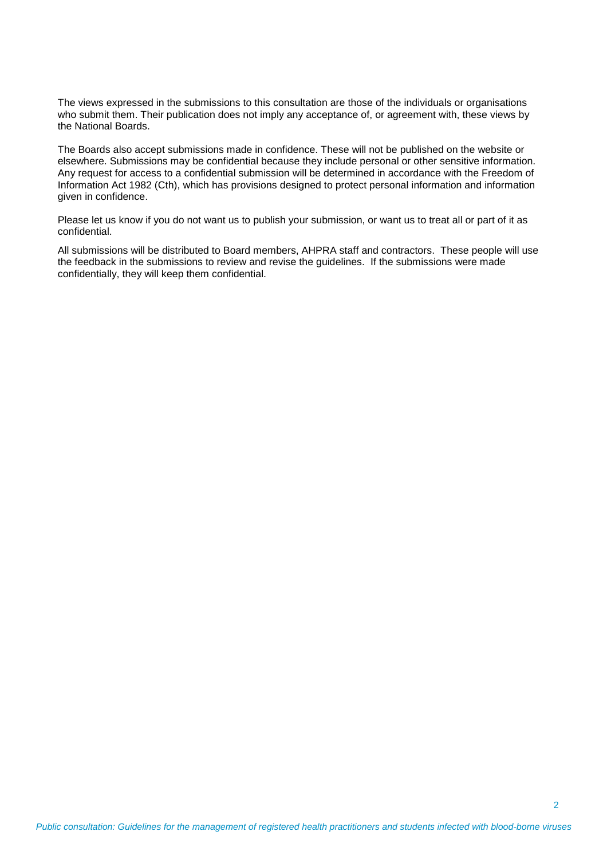The views expressed in the submissions to this consultation are those of the individuals or organisations who submit them. Their publication does not imply any acceptance of, or agreement with, these views by the National Boards.

The Boards also accept submissions made in confidence. These will not be published on the website or elsewhere. Submissions may be confidential because they include personal or other sensitive information. Any request for access to a confidential submission will be determined in accordance with the Freedom of Information Act 1982 (Cth), which has provisions designed to protect personal information and information given in confidence.

Please let us know if you do not want us to publish your submission, or want us to treat all or part of it as confidential.

All submissions will be distributed to Board members, AHPRA staff and contractors. These people will use the feedback in the submissions to review and revise the guidelines. If the submissions were made confidentially, they will keep them confidential.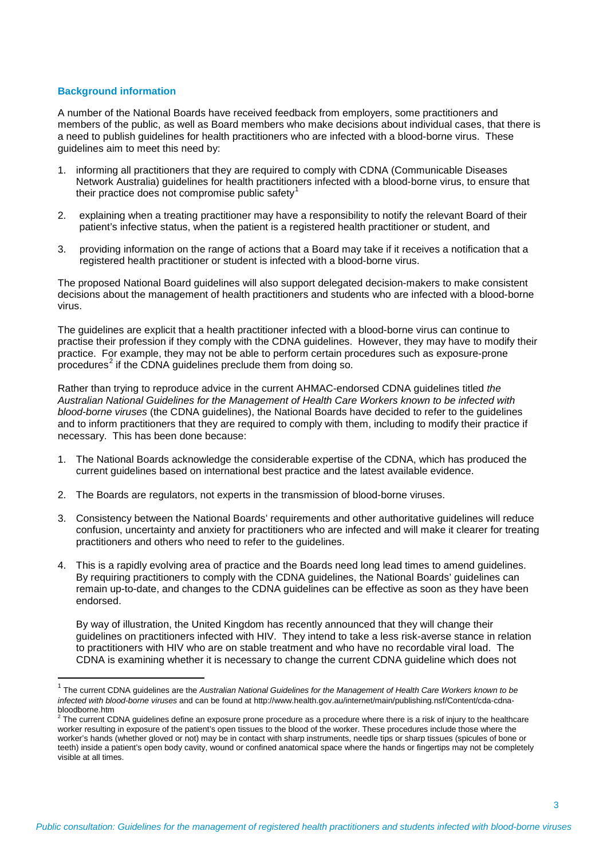#### **Background information**

A number of the National Boards have received feedback from employers, some practitioners and members of the public, as well as Board members who make decisions about individual cases, that there is a need to publish guidelines for health practitioners who are infected with a blood-borne virus. These guidelines aim to meet this need by:

- 1. informing all practitioners that they are required to comply with CDNA (Communicable Diseases Network Australia) guidelines for health practitioners infected with a blood-borne virus, to ensure that their practice does not compromise public safety<sup>[1](#page-2-0)</sup>
- 2. explaining when a treating practitioner may have a responsibility to notify the relevant Board of their patient's infective status, when the patient is a registered health practitioner or student, and
- 3. providing information on the range of actions that a Board may take if it receives a notification that a registered health practitioner or student is infected with a blood-borne virus.

The proposed National Board guidelines will also support delegated decision-makers to make consistent decisions about the management of health practitioners and students who are infected with a blood-borne virus.

The guidelines are explicit that a health practitioner infected with a blood-borne virus can continue to practise their profession if they comply with the CDNA guidelines. However, they may have to modify their practice. For example, they may not be able to perform certain procedures such as exposure-prone procedures $2$  if the CDNA guidelines preclude them from doing so.

Rather than trying to reproduce advice in the current AHMAC-endorsed CDNA guidelines titled *the Australian National Guidelines for the Management of Health Care Workers known to be infected with blood-borne viruses* (the CDNA guidelines), the National Boards have decided to refer to the guidelines and to inform practitioners that they are required to comply with them, including to modify their practice if necessary. This has been done because:

- 1. The National Boards acknowledge the considerable expertise of the CDNA, which has produced the current guidelines based on international best practice and the latest available evidence.
- 2. The Boards are regulators, not experts in the transmission of blood-borne viruses.
- 3. Consistency between the National Boards' requirements and other authoritative guidelines will reduce confusion, uncertainty and anxiety for practitioners who are infected and will make it clearer for treating practitioners and others who need to refer to the guidelines.
- 4. This is a rapidly evolving area of practice and the Boards need long lead times to amend guidelines. By requiring practitioners to comply with the CDNA guidelines, the National Boards' guidelines can remain up-to-date, and changes to the CDNA guidelines can be effective as soon as they have been endorsed.

By way of illustration, the United Kingdom has recently announced that they will change their guidelines on practitioners infected with HIV. They intend to take a less risk-averse stance in relation to practitioners with HIV who are on stable treatment and who have no recordable viral load. The CDNA is examining whether it is necessary to change the current CDNA guideline which does not

<span id="page-2-0"></span> <sup>1</sup> The current CDNA guidelines are the *Australian National Guidelines for the Management of Health Care Workers known to be infected with blood-borne viruses* and can be found at http://www.health.gov.au/internet/main/publishing.nsf/Content/cda-cdnabloodborne.htm

<span id="page-2-1"></span> $2$  The current CDNA guidelines define an exposure prone procedure as a procedure where there is a risk of injury to the healthcare worker resulting in exposure of the patient's open tissues to the blood of the worker. These procedures include those where the worker's hands (whether gloved or not) may be in contact with sharp instruments, needle tips or sharp tissues (spicules of bone or teeth) inside a patient's open body cavity, wound or confined anatomical space where the hands or fingertips may not be completely visible at all times.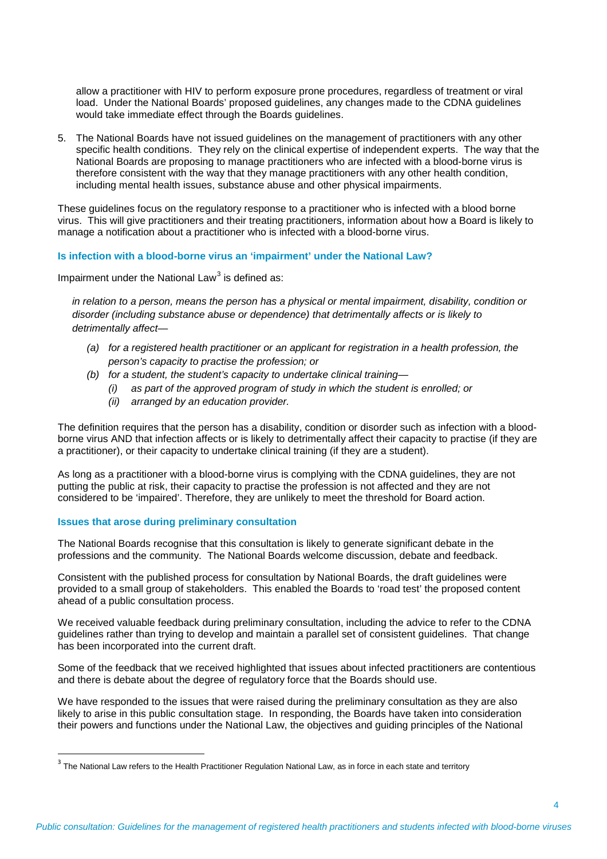allow a practitioner with HIV to perform exposure prone procedures, regardless of treatment or viral load. Under the National Boards' proposed guidelines, any changes made to the CDNA guidelines would take immediate effect through the Boards guidelines.

5. The National Boards have not issued guidelines on the management of practitioners with any other specific health conditions. They rely on the clinical expertise of independent experts. The way that the National Boards are proposing to manage practitioners who are infected with a blood-borne virus is therefore consistent with the way that they manage practitioners with any other health condition, including mental health issues, substance abuse and other physical impairments.

These guidelines focus on the regulatory response to a practitioner who is infected with a blood borne virus. This will give practitioners and their treating practitioners, information about how a Board is likely to manage a notification about a practitioner who is infected with a blood-borne virus.

## **Is infection with a blood-borne virus an 'impairment' under the National Law?**

Impairment under the National Law<sup>[3](#page-3-0)</sup> is defined as:

*in relation to a person, means the person has a physical or mental impairment, disability, condition or disorder (including substance abuse or dependence) that detrimentally affects or is likely to detrimentally affect—*

- *(a) for a registered health practitioner or an applicant for registration in a health profession, the person's capacity to practise the profession; or*
- *(b) for a student, the student's capacity to undertake clinical training—*
	- *(i) as part of the approved program of study in which the student is enrolled; or*
	- *(ii) arranged by an education provider.*

The definition requires that the person has a disability, condition or disorder such as infection with a bloodborne virus AND that infection affects or is likely to detrimentally affect their capacity to practise (if they are a practitioner), or their capacity to undertake clinical training (if they are a student).

As long as a practitioner with a blood-borne virus is complying with the CDNA guidelines, they are not putting the public at risk, their capacity to practise the profession is not affected and they are not considered to be 'impaired'. Therefore, they are unlikely to meet the threshold for Board action.

## **Issues that arose during preliminary consultation**

The National Boards recognise that this consultation is likely to generate significant debate in the professions and the community. The National Boards welcome discussion, debate and feedback.

Consistent with the published process for consultation by National Boards, the draft guidelines were provided to a small group of stakeholders. This enabled the Boards to 'road test' the proposed content ahead of a public consultation process.

We received valuable feedback during preliminary consultation, including the advice to refer to the CDNA guidelines rather than trying to develop and maintain a parallel set of consistent guidelines. That change has been incorporated into the current draft.

Some of the feedback that we received highlighted that issues about infected practitioners are contentious and there is debate about the degree of regulatory force that the Boards should use.

We have responded to the issues that were raised during the preliminary consultation as they are also likely to arise in this public consultation stage. In responding, the Boards have taken into consideration their powers and functions under the National Law, the objectives and guiding principles of the National

<span id="page-3-0"></span> $3$  The National Law refers to the Health Practitioner Regulation National Law, as in force in each state and territory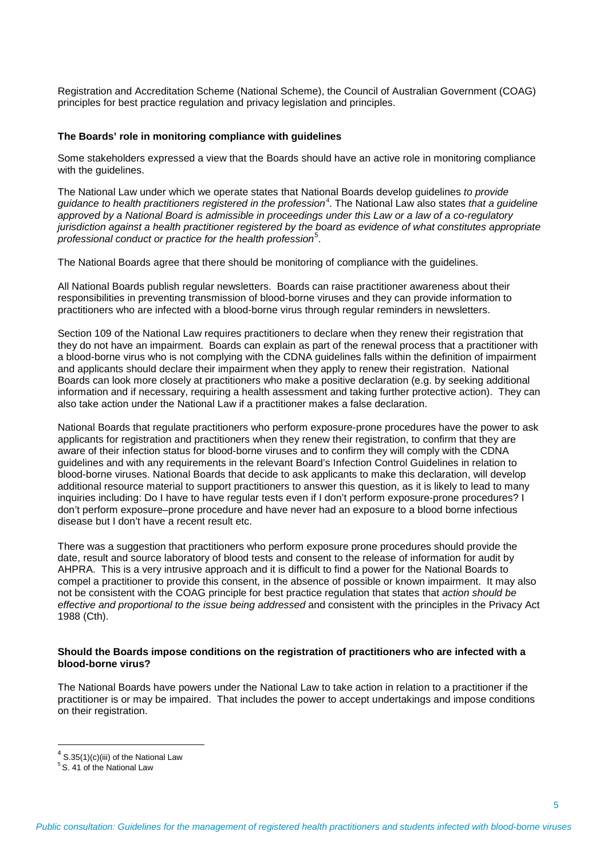Registration and Accreditation Scheme (National Scheme), the Council of Australian Government (COAG) principles for best practice regulation and privacy legislation and principles.

#### **The Boards' role in monitoring compliance with guidelines**

Some stakeholders expressed a view that the Boards should have an active role in monitoring compliance with the guidelines.

The National Law under which we operate states that National Boards develop guidelines *to provide*   $g$ uidance to health practitioners registered in the profession<sup>[4](#page-4-0)</sup>. The National Law also states *that a guideline approved by a National Board is admissible in proceedings under this Law or a law of a co-regulatory jurisdiction against a health practitioner registered by the board as evidence of what constitutes appropriate professional conduct or practice for the health profession*[5](#page-4-1) .

The National Boards agree that there should be monitoring of compliance with the guidelines.

All National Boards publish regular newsletters. Boards can raise practitioner awareness about their responsibilities in preventing transmission of blood-borne viruses and they can provide information to practitioners who are infected with a blood-borne virus through regular reminders in newsletters.

Section 109 of the National Law requires practitioners to declare when they renew their registration that they do not have an impairment. Boards can explain as part of the renewal process that a practitioner with a blood-borne virus who is not complying with the CDNA guidelines falls within the definition of impairment and applicants should declare their impairment when they apply to renew their registration. National Boards can look more closely at practitioners who make a positive declaration (e.g. by seeking additional information and if necessary, requiring a health assessment and taking further protective action). They can also take action under the National Law if a practitioner makes a false declaration.

National Boards that regulate practitioners who perform exposure-prone procedures have the power to ask applicants for registration and practitioners when they renew their registration, to confirm that they are aware of their infection status for blood-borne viruses and to confirm they will comply with the CDNA guidelines and with any requirements in the relevant Board's Infection Control Guidelines in relation to blood-borne viruses. National Boards that decide to ask applicants to make this declaration, will develop additional resource material to support practitioners to answer this question, as it is likely to lead to many inquiries including: Do I have to have regular tests even if I don't perform exposure-prone procedures? I don't perform exposure–prone procedure and have never had an exposure to a blood borne infectious disease but I don't have a recent result etc.

There was a suggestion that practitioners who perform exposure prone procedures should provide the date, result and source laboratory of blood tests and consent to the release of information for audit by AHPRA. This is a very intrusive approach and it is difficult to find a power for the National Boards to compel a practitioner to provide this consent, in the absence of possible or known impairment. It may also not be consistent with the COAG principle for best practice regulation that states that *action should be effective and proportional to the issue being addressed* and consistent with the principles in the Privacy Act 1988 (Cth).

#### **Should the Boards impose conditions on the registration of practitioners who are infected with a blood-borne virus?**

The National Boards have powers under the National Law to take action in relation to a practitioner if the practitioner is or may be impaired. That includes the power to accept undertakings and impose conditions on their registration.

<span id="page-4-0"></span> $4$  S.35(1)(c)(iii) of the National Law

<span id="page-4-1"></span><sup>&</sup>lt;sup>5</sup> S. 41 of the National Law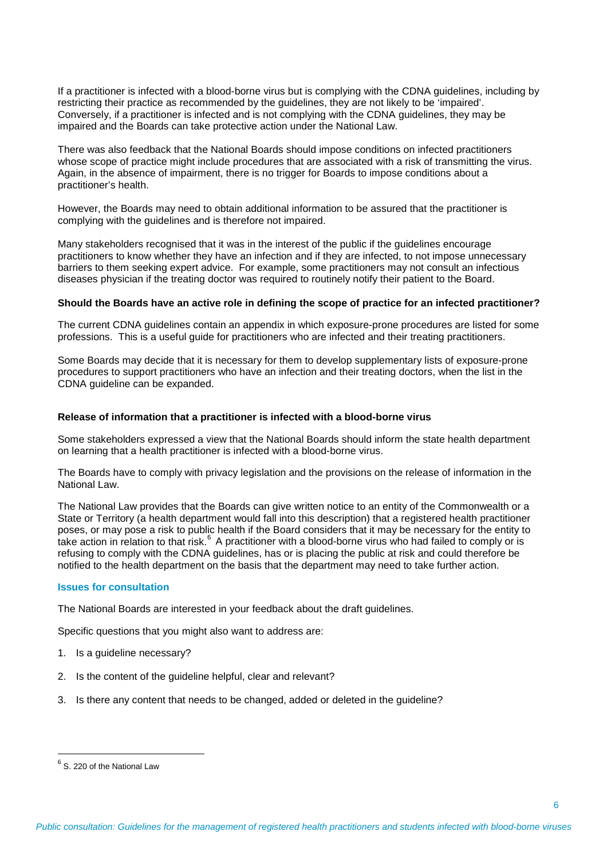If a practitioner is infected with a blood-borne virus but is complying with the CDNA guidelines, including by restricting their practice as recommended by the guidelines, they are not likely to be 'impaired'. Conversely, if a practitioner is infected and is not complying with the CDNA guidelines, they may be impaired and the Boards can take protective action under the National Law.

There was also feedback that the National Boards should impose conditions on infected practitioners whose scope of practice might include procedures that are associated with a risk of transmitting the virus. Again, in the absence of impairment, there is no trigger for Boards to impose conditions about a practitioner's health.

However, the Boards may need to obtain additional information to be assured that the practitioner is complying with the guidelines and is therefore not impaired.

Many stakeholders recognised that it was in the interest of the public if the guidelines encourage practitioners to know whether they have an infection and if they are infected, to not impose unnecessary barriers to them seeking expert advice. For example, some practitioners may not consult an infectious diseases physician if the treating doctor was required to routinely notify their patient to the Board.

#### **Should the Boards have an active role in defining the scope of practice for an infected practitioner?**

The current CDNA guidelines contain an appendix in which exposure-prone procedures are listed for some professions. This is a useful guide for practitioners who are infected and their treating practitioners.

Some Boards may decide that it is necessary for them to develop supplementary lists of exposure-prone procedures to support practitioners who have an infection and their treating doctors, when the list in the CDNA guideline can be expanded.

#### **Release of information that a practitioner is infected with a blood-borne virus**

Some stakeholders expressed a view that the National Boards should inform the state health department on learning that a health practitioner is infected with a blood-borne virus.

The Boards have to comply with privacy legislation and the provisions on the release of information in the National Law.

The National Law provides that the Boards can give written notice to an entity of the Commonwealth or a State or Territory (a health department would fall into this description) that a registered health practitioner poses, or may pose a risk to public health if the Board considers that it may be necessary for the entity to take action in relation to that risk.<sup>[6](#page-5-0)</sup> A practitioner with a blood-borne virus who had failed to comply or is refusing to comply with the CDNA guidelines, has or is placing the public at risk and could therefore be notified to the health department on the basis that the department may need to take further action.

#### **Issues for consultation**

The National Boards are interested in your feedback about the draft guidelines.

Specific questions that you might also want to address are:

- 1. Is a guideline necessary?
- 2. Is the content of the guideline helpful, clear and relevant?
- 3. Is there any content that needs to be changed, added or deleted in the guideline?

<span id="page-5-0"></span> $<sup>6</sup>$  S. 220 of the National Law</sup>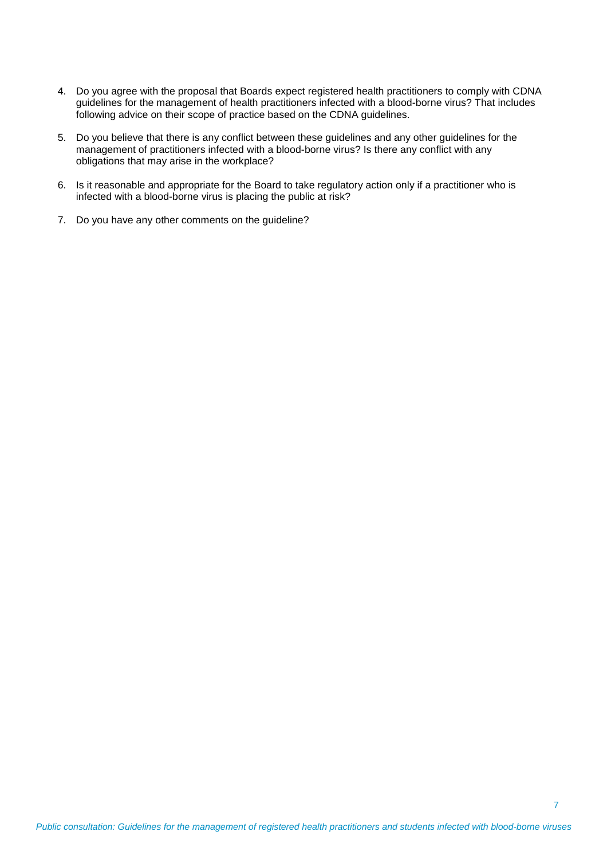- 4. Do you agree with the proposal that Boards expect registered health practitioners to comply with CDNA guidelines for the management of health practitioners infected with a blood-borne virus? That includes following advice on their scope of practice based on the CDNA guidelines.
- 5. Do you believe that there is any conflict between these guidelines and any other guidelines for the management of practitioners infected with a blood-borne virus? Is there any conflict with any obligations that may arise in the workplace?
- 6. Is it reasonable and appropriate for the Board to take regulatory action only if a practitioner who is infected with a blood-borne virus is placing the public at risk?
- 7. Do you have any other comments on the guideline?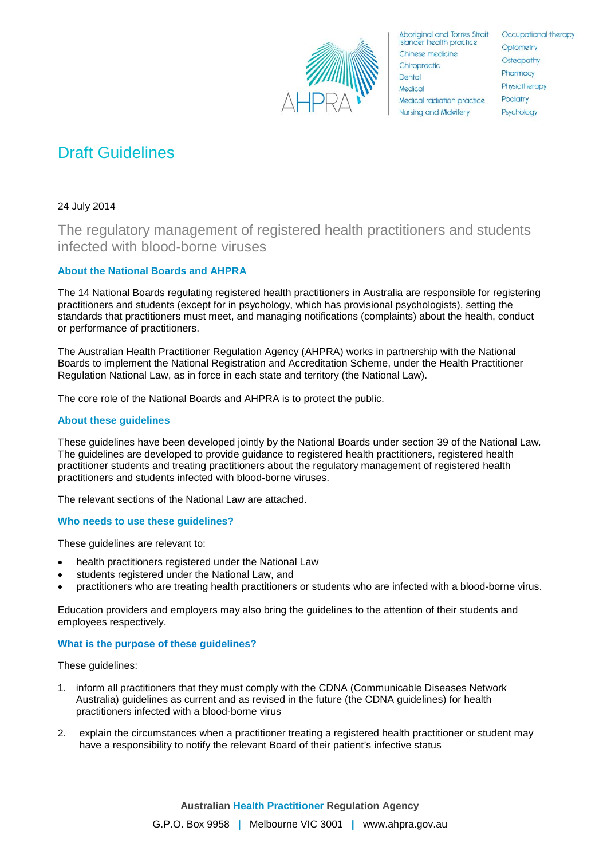

**Aboriginal and Torres Strait Islander health practice** Chinese medicine Chiropractic Dental Medical Medical radiation practice **Nursing and Midwifery** 

Occupational therapy Optometry Osteopathy Pharmacy Physiotherapy Podiatry Psychology

# Draft Guidelines

# 24 July 2014

The regulatory management of registered health practitioners and students infected with blood-borne viruses

# **About the National Boards and AHPRA**

The 14 National Boards regulating registered health practitioners in Australia are responsible for registering practitioners and students (except for in psychology, which has provisional psychologists), setting the standards that practitioners must meet, and managing notifications (complaints) about the health, conduct or performance of practitioners.

The Australian Health Practitioner Regulation Agency (AHPRA) works in partnership with the National Boards to implement the National Registration and Accreditation Scheme, under the Health Practitioner Regulation National Law, as in force in each state and territory (the National Law).

The core role of the National Boards and AHPRA is to protect the public.

# **About these guidelines**

These guidelines have been developed jointly by the National Boards under section 39 of the National Law*.*  The guidelines are developed to provide guidance to registered health practitioners, registered health practitioner students and treating practitioners about the regulatory management of registered health practitioners and students infected with blood-borne viruses.

The relevant sections of the National Law are attached.

# **Who needs to use these guidelines?**

These guidelines are relevant to:

- health practitioners registered under the National Law
- students registered under the National Law, and
- practitioners who are treating health practitioners or students who are infected with a blood-borne virus.

Education providers and employers may also bring the guidelines to the attention of their students and employees respectively.

# **What is the purpose of these guidelines?**

These guidelines:

- 1. inform all practitioners that they must comply with the CDNA (Communicable Diseases Network Australia) guidelines as current and as revised in the future (the CDNA guidelines) for health practitioners infected with a blood-borne virus
- 2. explain the circumstances when a practitioner treating a registered health practitioner or student may have a responsibility to notify the relevant Board of their patient's infective status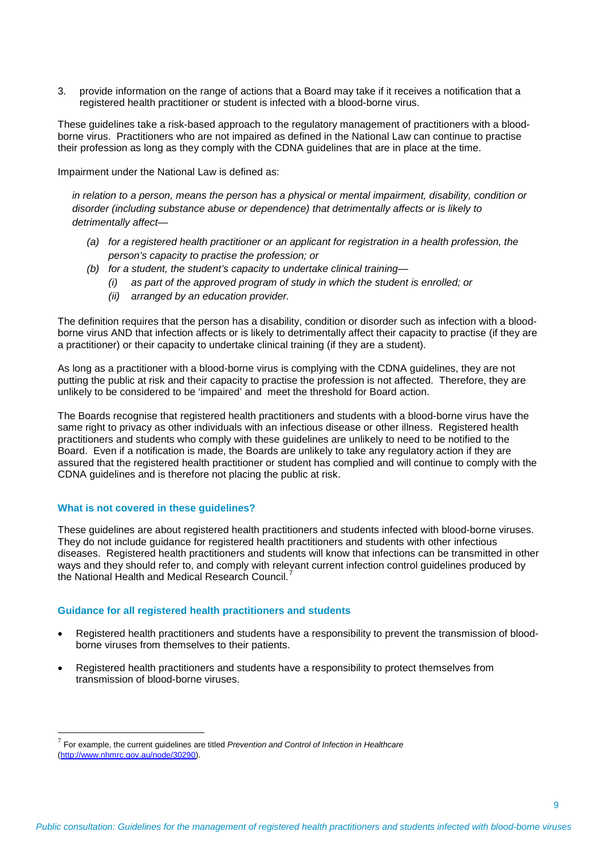3. provide information on the range of actions that a Board may take if it receives a notification that a registered health practitioner or student is infected with a blood-borne virus.

These guidelines take a risk-based approach to the regulatory management of practitioners with a bloodborne virus. Practitioners who are not impaired as defined in the National Law can continue to practise their profession as long as they comply with the CDNA guidelines that are in place at the time.

Impairment under the National Law is defined as:

*in relation to a person, means the person has a physical or mental impairment, disability, condition or disorder (including substance abuse or dependence) that detrimentally affects or is likely to detrimentally affect—*

- *(a) for a registered health practitioner or an applicant for registration in a health profession, the person's capacity to practise the profession; or*
- *(b) for a student, the student's capacity to undertake clinical training—*
	- *(i) as part of the approved program of study in which the student is enrolled; or*
	- *(ii) arranged by an education provider.*

The definition requires that the person has a disability, condition or disorder such as infection with a bloodborne virus AND that infection affects or is likely to detrimentally affect their capacity to practise (if they are a practitioner) or their capacity to undertake clinical training (if they are a student).

As long as a practitioner with a blood-borne virus is complying with the CDNA guidelines, they are not putting the public at risk and their capacity to practise the profession is not affected. Therefore, they are unlikely to be considered to be 'impaired' and meet the threshold for Board action.

The Boards recognise that registered health practitioners and students with a blood-borne virus have the same right to privacy as other individuals with an infectious disease or other illness. Registered health practitioners and students who comply with these guidelines are unlikely to need to be notified to the Board. Even if a notification is made, the Boards are unlikely to take any regulatory action if they are assured that the registered health practitioner or student has complied and will continue to comply with the CDNA guidelines and is therefore not placing the public at risk.

## **What is not covered in these guidelines?**

 $\overline{\phantom{a}}$ 

These guidelines are about registered health practitioners and students infected with blood-borne viruses. They do not include guidance for registered health practitioners and students with other infectious diseases. Registered health practitioners and students will know that infections can be transmitted in other ways and they should refer to, and comply with relevant current infection control guidelines produced by the National Health and Medical Research Council.<sup>[7](#page-8-0)</sup>

#### **Guidance for all registered health practitioners and students**

- Registered health practitioners and students have a responsibility to prevent the transmission of bloodborne viruses from themselves to their patients.
- Registered health practitioners and students have a responsibility to protect themselves from transmission of blood-borne viruses.

<span id="page-8-0"></span><sup>7</sup> For example, the current guidelines are titled *Prevention and Control of Infection in Healthcare*  [\(http://www.nhmrc.gov.au/node/30290\)](http://www.nhmrc.gov.au/node/30290).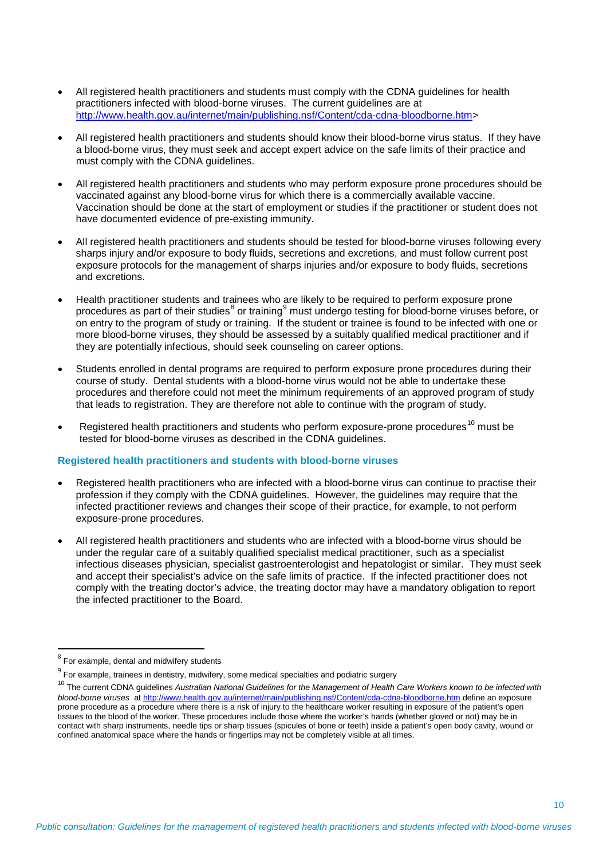- All registered health practitioners and students must comply with the CDNA guidelines for health practitioners infected with blood-borne viruses. The current guidelines are at [http://www.health.gov.au/internet/main/publishing.nsf/Content/cda-cdna-bloodborne.htm>](http://www.health.gov.au/internet/main/publishing.nsf/Content/cda-cdna-bloodborne.htm)
- All registered health practitioners and students should know their blood-borne virus status. If they have a blood-borne virus, they must seek and accept expert advice on the safe limits of their practice and must comply with the CDNA guidelines.
- All registered health practitioners and students who may perform exposure prone procedures should be vaccinated against any blood-borne virus for which there is a commercially available vaccine. Vaccination should be done at the start of employment or studies if the practitioner or student does not have documented evidence of pre-existing immunity.
- All registered health practitioners and students should be tested for blood-borne viruses following every sharps injury and/or exposure to body fluids, secretions and excretions, and must follow current post exposure protocols for the management of sharps injuries and/or exposure to body fluids, secretions and excretions.
- Health practitioner students and trainees who are likely to be required to perform exposure prone procedures as part of their studies $^{\text{\tiny 8}}$  $^{\text{\tiny 8}}$  $^{\text{\tiny 8}}$  or training $^{\text{\tiny 9}}$  $^{\text{\tiny 9}}$  $^{\text{\tiny 9}}$  must undergo testing for blood-borne viruses before, or on entry to the program of study or training. If the student or trainee is found to be infected with one or more blood-borne viruses, they should be assessed by a suitably qualified medical practitioner and if they are potentially infectious, should seek counseling on career options.
- Students enrolled in dental programs are required to perform exposure prone procedures during their course of study. Dental students with a blood-borne virus would not be able to undertake these procedures and therefore could not meet the minimum requirements of an approved program of study that leads to registration. They are therefore not able to continue with the program of study.
- Registered health practitioners and students who perform exposure-prone procedures<sup>[10](#page-9-2)</sup> must be tested for blood-borne viruses as described in the CDNA guidelines.

#### **Registered health practitioners and students with blood-borne viruses**

- Registered health practitioners who are infected with a blood-borne virus can continue to practise their profession if they comply with the CDNA guidelines. However, the guidelines may require that the infected practitioner reviews and changes their scope of their practice, for example, to not perform exposure-prone procedures.
- All registered health practitioners and students who are infected with a blood-borne virus should be under the regular care of a suitably qualified specialist medical practitioner, such as a specialist infectious diseases physician, specialist gastroenterologist and hepatologist or similar. They must seek and accept their specialist's advice on the safe limits of practice. If the infected practitioner does not comply with the treating doctor's advice, the treating doctor may have a mandatory obligation to report the infected practitioner to the Board.

<span id="page-9-0"></span> $8$  For example, dental and midwifery students

<span id="page-9-1"></span> $9$  For example, trainees in dentistry, midwifery, some medical specialties and podiatric surgery

<span id="page-9-2"></span><sup>&</sup>lt;sup>10</sup> The current CDNA quidelines Australian National Guidelines for the Management of Health Care Workers known to be infected with *blood-borne viruses* a[t http://www.health.gov.au/internet/main/publishing.nsf/Content/cda-cdna-bloodborne.htm](http://www.health.gov.au/internet/main/publishing.nsf/Content/cda-cdna-bloodborne.htm) define an exposure prone procedure as a procedure where there is a risk of injury to the healthcare worker resulting in exposure of the patient's open tissues to the blood of the worker. These procedures include those where the worker's hands (whether gloved or not) may be in contact with sharp instruments, needle tips or sharp tissues (spicules of bone or teeth) inside a patient's open body cavity, wound or confined anatomical space where the hands or fingertips may not be completely visible at all times.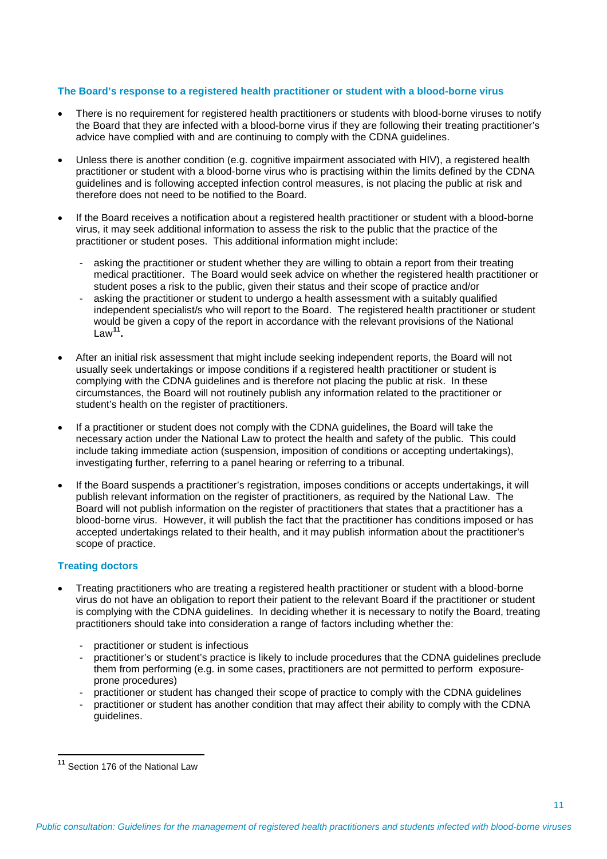## **The Board's response to a registered health practitioner or student with a blood-borne virus**

- There is no requirement for registered health practitioners or students with blood-borne viruses to notify the Board that they are infected with a blood-borne virus if they are following their treating practitioner's advice have complied with and are continuing to comply with the CDNA guidelines.
- Unless there is another condition (e.g. cognitive impairment associated with HIV), a registered health practitioner or student with a blood-borne virus who is practising within the limits defined by the CDNA guidelines and is following accepted infection control measures, is not placing the public at risk and therefore does not need to be notified to the Board.
- If the Board receives a notification about a registered health practitioner or student with a blood-borne virus, it may seek additional information to assess the risk to the public that the practice of the practitioner or student poses. This additional information might include:
	- asking the practitioner or student whether they are willing to obtain a report from their treating medical practitioner. The Board would seek advice on whether the registered health practitioner or student poses a risk to the public, given their status and their scope of practice and/or
	- asking the practitioner or student to undergo a health assessment with a suitably qualified independent specialist/s who will report to the Board. The registered health practitioner or student would be given a copy of the report in accordance with the relevant provisions of the National Law**[11](#page-10-0).**
- After an initial risk assessment that might include seeking independent reports, the Board will not usually seek undertakings or impose conditions if a registered health practitioner or student is complying with the CDNA guidelines and is therefore not placing the public at risk. In these circumstances, the Board will not routinely publish any information related to the practitioner or student's health on the register of practitioners.
- If a practitioner or student does not comply with the CDNA guidelines, the Board will take the necessary action under the National Law to protect the health and safety of the public. This could include taking immediate action (suspension, imposition of conditions or accepting undertakings), investigating further, referring to a panel hearing or referring to a tribunal.
- If the Board suspends a practitioner's registration, imposes conditions or accepts undertakings, it will publish relevant information on the register of practitioners, as required by the National Law. The Board will not publish information on the register of practitioners that states that a practitioner has a blood-borne virus. However, it will publish the fact that the practitioner has conditions imposed or has accepted undertakings related to their health, and it may publish information about the practitioner's scope of practice.

# **Treating doctors**

- Treating practitioners who are treating a registered health practitioner or student with a blood-borne virus do not have an obligation to report their patient to the relevant Board if the practitioner or student is complying with the CDNA guidelines. In deciding whether it is necessary to notify the Board, treating practitioners should take into consideration a range of factors including whether the:
	- practitioner or student is infectious
	- practitioner's or student's practice is likely to include procedures that the CDNA guidelines preclude them from performing (e.g. in some cases, practitioners are not permitted to perform exposureprone procedures)
	- practitioner or student has changed their scope of practice to comply with the CDNA guidelines
	- practitioner or student has another condition that may affect their ability to comply with the CDNA guidelines.

<span id="page-10-0"></span>**<sup>11</sup>** Section 176 of the National Law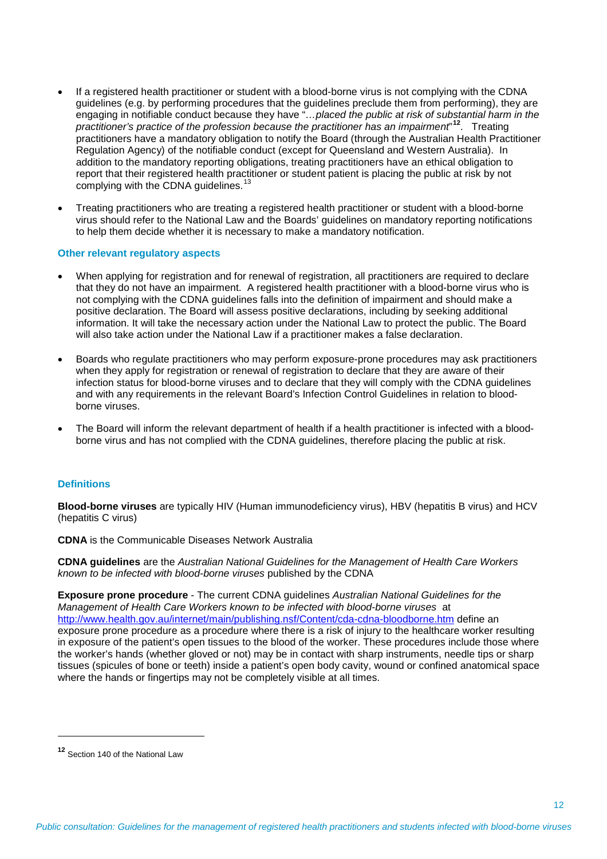- If a registered health practitioner or student with a blood-borne virus is not complying with the CDNA guidelines (e.g. by performing procedures that the guidelines preclude them from performing), they are engaging in notifiable conduct because they have "*…placed the public at risk of substantial harm in the practitioner's practice of the profession because the practitioner has an impairment*" **[12](#page-11-0)**. Treating practitioners have a mandatory obligation to notify the Board (through the Australian Health Practitioner Regulation Agency) of the notifiable conduct (except for Queensland and Western Australia). In addition to the mandatory reporting obligations, treating practitioners have an ethical obligation to report that their registered health practitioner or student patient is placing the public at risk by not complying with the CDNA guidelines.<sup>[13](#page-11-1)</sup>
- Treating practitioners who are treating a registered health practitioner or student with a blood-borne virus should refer to the National Law and the Boards' guidelines on mandatory reporting notifications to help them decide whether it is necessary to make a mandatory notification.

#### **Other relevant regulatory aspects**

- When applying for registration and for renewal of registration, all practitioners are required to declare that they do not have an impairment. A registered health practitioner with a blood-borne virus who is not complying with the CDNA guidelines falls into the definition of impairment and should make a positive declaration. The Board will assess positive declarations, including by seeking additional information. It will take the necessary action under the National Law to protect the public. The Board will also take action under the National Law if a practitioner makes a false declaration.
- Boards who regulate practitioners who may perform exposure-prone procedures may ask practitioners when they apply for registration or renewal of registration to declare that they are aware of their infection status for blood-borne viruses and to declare that they will comply with the CDNA guidelines and with any requirements in the relevant Board's Infection Control Guidelines in relation to bloodborne viruses.
- The Board will inform the relevant department of health if a health practitioner is infected with a bloodborne virus and has not complied with the CDNA guidelines, therefore placing the public at risk.

#### **Definitions**

**Blood-borne viruses** are typically HIV (Human immunodeficiency virus), HBV (hepatitis B virus) and HCV (hepatitis C virus)

**CDNA** is the Communicable Diseases Network Australia

**CDNA guidelines** are the *Australian National Guidelines for the Management of Health Care Workers known to be infected with blood-borne viruses* published by the CDNA

**Exposure prone procedure** - The current CDNA guidelines *Australian National Guidelines for the Management of Health Care Workers known to be infected with blood-borne viruses* at <http://www.health.gov.au/internet/main/publishing.nsf/Content/cda-cdna-bloodborne.htm> define an exposure prone procedure as a procedure where there is a risk of injury to the healthcare worker resulting in exposure of the patient's open tissues to the blood of the worker. These procedures include those where the worker's hands (whether gloved or not) may be in contact with sharp instruments, needle tips or sharp tissues (spicules of bone or teeth) inside a patient's open body cavity, wound or confined anatomical space where the hands or fingertips may not be completely visible at all times.

 $\overline{\phantom{a}}$ 

<span id="page-11-1"></span><span id="page-11-0"></span>**<sup>12</sup>** Section 140 of the National Law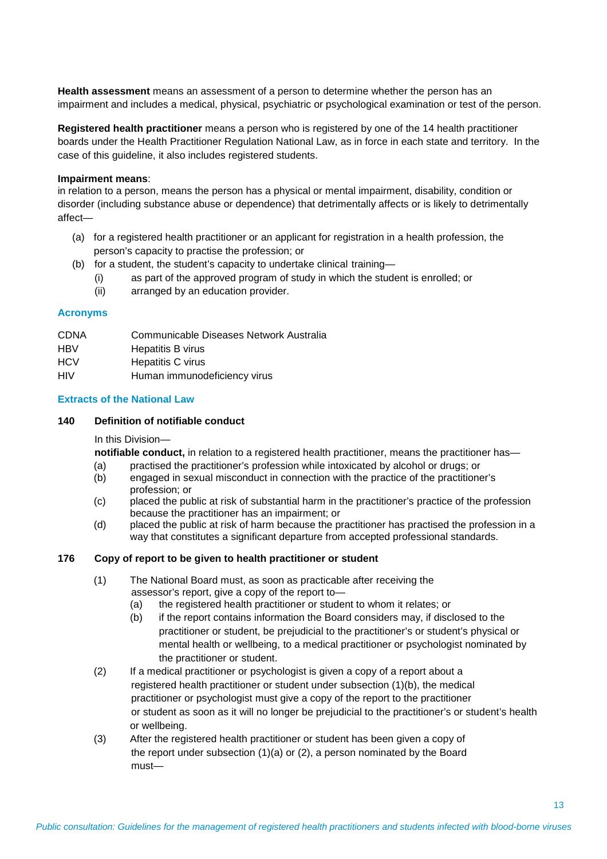**Health assessment** means an assessment of a person to determine whether the person has an impairment and includes a medical, physical, psychiatric or psychological examination or test of the person.

**Registered health practitioner** means a person who is registered by one of the 14 health practitioner boards under the Health Practitioner Regulation National Law, as in force in each state and territory. In the case of this guideline, it also includes registered students.

## **Impairment means**:

in relation to a person, means the person has a physical or mental impairment, disability, condition or disorder (including substance abuse or dependence) that detrimentally affects or is likely to detrimentally affect—

- (a) for a registered health practitioner or an applicant for registration in a health profession, the person's capacity to practise the profession; or
- (b) for a student, the student's capacity to undertake clinical training—
	- (i) as part of the approved program of study in which the student is enrolled; or
	- (ii) arranged by an education provider.

## **Acronyms**

| <b>CDNA</b>                      | Communicable Diseases Network Australia |
|----------------------------------|-----------------------------------------|
| HBV                              | Hepatitis B virus                       |
| <b>HCV</b>                       | Hepatitis C virus                       |
| $\mathsf{L}\mathsf{I}\mathsf{N}$ | Human immunodoficionou viruo            |

HIV Human immunodeficiency virus

# **Extracts of the National Law**

## **140 Definition of notifiable conduct**

In this Division—

**notifiable conduct,** in relation to a registered health practitioner, means the practitioner has—

- (a) practised the practitioner's profession while intoxicated by alcohol or drugs; or
- (b) engaged in sexual misconduct in connection with the practice of the practitioner's profession; or
- (c) placed the public at risk of substantial harm in the practitioner's practice of the profession because the practitioner has an impairment; or
- (d) placed the public at risk of harm because the practitioner has practised the profession in a way that constitutes a significant departure from accepted professional standards.

# **176 Copy of report to be given to health practitioner or student**

- (1) The National Board must, as soon as practicable after receiving the assessor's report, give a copy of the report to—
	- (a) the registered health practitioner or student to whom it relates; or
	- (b) if the report contains information the Board considers may, if disclosed to the practitioner or student, be prejudicial to the practitioner's or student's physical or mental health or wellbeing, to a medical practitioner or psychologist nominated by the practitioner or student.
- (2) If a medical practitioner or psychologist is given a copy of a report about a registered health practitioner or student under subsection (1)(b), the medical practitioner or psychologist must give a copy of the report to the practitioner or student as soon as it will no longer be prejudicial to the practitioner's or student's health or wellbeing.
- (3) After the registered health practitioner or student has been given a copy of the report under subsection (1)(a) or (2), a person nominated by the Board must—